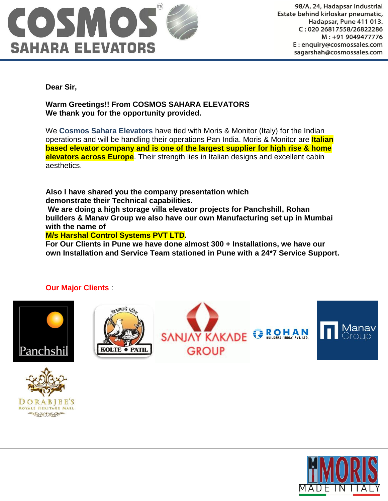

98/A, 24, Hadapsar Industrial Estate behind kirloskar pneumatic, Hadapsar, Pune 411 013. C: 020 26817558/26822286 M: +91 9049477776 E: enquiry@cosmossales.com sagarshah@cosmossales.com

**Dear Sir,**

**Warm Greetings!! From COSMOS SAHARA ELEVATORS We thank you for the opportunity provided.**

We **Cosmos Sahara Elevators** have tied with Moris & Monitor (Italy) for the Indian operations and will be handling their operations Pan India. Moris & Monitor are **Italian based elevator company and is one of the largest supplier for high rise & home elevators across Europe**. Their strength lies in Italian designs and excellent cabin aesthetics.

**Also I have shared you the company presentation which demonstrate their Technical capabilities.**

**We are doing a high storage villa elevator projects for Panchshill, Rohan builders & Manav Group we also have our own Manufacturing set up in Mumbai with the name of** 

# **M/s Harshal Control Systems PVT LTD.**

**For Our Clients in Pune we have done almost 300 + Installations, we have our own Installation and Service Team stationed in Pune with a 24\*7 Service Support.**

# **Our Major Clients** :



DORABIEE'S ROYALE HERITAGE MALL **SAUTIFICAT** 





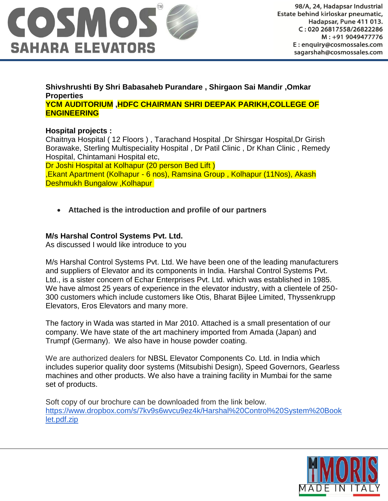

# **Shivshrushti By Shri Babasaheb Purandare , Shirgaon Sai Mandir ,Omkar Properties**

#### **YCM AUDITORIUM ,HDFC CHAIRMAN SHRI DEEPAK PARIKH,COLLEGE OF ENGINEERING**

# **Hospital projects :**

Chaitnya Hospital ( 12 Floors ) , Tarachand Hospital ,Dr Shirsgar Hospital,Dr Girish Borawake, Sterling Multispeciality Hospital , Dr Patil Clinic , Dr Khan Clinic , Remedy Hospital, Chintamani Hospital etc,

Dr Joshi Hospital at Kolhapur (20 person Bed Lift )

,Ekant Apartment (Kolhapur - 6 nos), Ramsina Group , Kolhapur (11Nos), Akash **Deshmukh Bungalow , Kolhapur** 

**Attached is the introduction and profile of our partners**

# **M/s Harshal Control Systems Pvt. Ltd.**

As discussed I would like introduce to you

M/s Harshal Control Systems Pvt. Ltd. We have been one of the leading manufacturers and suppliers of Elevator and its components in India. Harshal Control Systems Pvt. Ltd., is a sister concern of Echar Enterprises Pvt. Ltd. which was established in 1985. We have almost 25 years of experience in the elevator industry, with a clientele of 250- 300 customers which include customers like Otis, Bharat Bijlee Limited, Thyssenkrupp Elevators, Eros Elevators and many more.

The factory in Wada was started in Mar 2010. Attached is a small presentation of our company. We have state of the art machinery imported from Amada (Japan) and Trumpf (Germany). We also have in house powder coating.

We are authorized dealers for NBSL Elevator Components Co. Ltd. in India which includes superior quality door systems (Mitsubishi Design), Speed Governors, Gearless machines and other products. We also have a training facility in Mumbai for the same set of products.

Soft copy of our brochure can be downloaded from the link below. [https://www.dropbox.com/s/7kv9s6wvcu9ez4k/Harshal%20Control%20System%20Book](https://www.dropbox.com/s/7kv9s6wvcu9ez4k/Harshal%20Control%20System%20Booklet.pdf.zip) [let.pdf.zip](https://www.dropbox.com/s/7kv9s6wvcu9ez4k/Harshal%20Control%20System%20Booklet.pdf.zip)